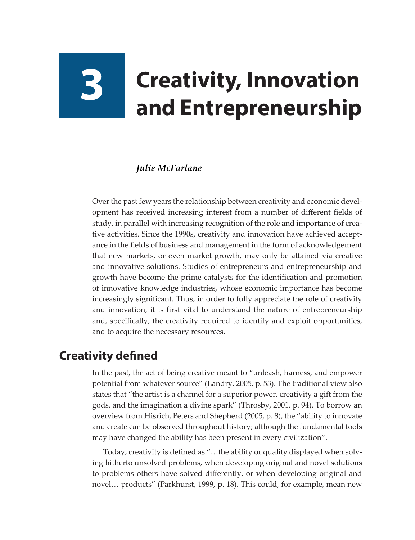# **3 Creativity, Innovation and Entrepreneurship**

# *Julie McFarlane*

Over the past few years the relationship between creativity and economic development has received increasing interest from a number of different fields of study, in parallel with increasing recognition of the role and importance of creative activities. Since the 1990s, creativity and innovation have achieved acceptance in the fields of business and management in the form of acknowledgement that new markets, or even market growth, may only be attained via creative and innovative solutions. Studies of entrepreneurs and entrepreneurship and growth have become the prime catalysts for the identification and promotion of innovative knowledge industries, whose economic importance has become increasingly significant. Thus, in order to fully appreciate the role of creativity and innovation, it is first vital to understand the nature of entrepreneurship and, specifically, the creativity required to identify and exploit opportunities, and to acquire the necessary resources.

# **Creativity defined**

In the past, the act of being creative meant to "unleash, harness, and empower potential from whatever source" (Landry, 2005, p. 53). The traditional view also states that "the artist is a channel for a superior power, creativity a gift from the gods, and the imagination a divine spark" (Throsby, 2001, p. 94). To borrow an overview from Hisrich, Peters and Shepherd (2005, p. 8), the "ability to innovate and create can be observed throughout history; although the fundamental tools may have changed the ability has been present in every civilization".

Today, creativity is defined as "…the ability or quality displayed when solving hitherto unsolved problems, when developing original and novel solutions to problems others have solved differently, or when developing original and novel… products" (Parkhurst, 1999, p. 18). This could, for example, mean new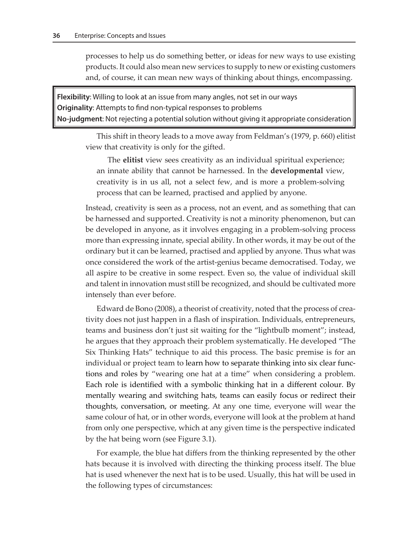processes to help us do something better, or ideas for new ways to use existing products. It could also mean new services to supply to new or existing customers and, of course, it can mean new ways of thinking about things, encompassing.

**Flexibility**: Willing to look at an issue from many angles, not set in our ways **Originality**: Attempts to find non-typical responses to problems **No-judgment**: Not rejecting a potential solution without giving it appropriate consideration

This shift in theory leads to a move away from Feldman's (1979, p. 660) elitist view that creativity is only for the gifted.

The **elitist** view sees creativity as an individual spiritual experience; an innate ability that cannot be harnessed. In the **developmental** view, creativity is in us all, not a select few, and is more a problem-solving process that can be learned, practised and applied by anyone.

Instead, creativity is seen as a process, not an event, and as something that can be harnessed and supported. Creativity is not a minority phenomenon, but can be developed in anyone, as it involves engaging in a problem-solving process more than expressing innate, special ability. In other words, it may be out of the ordinary but it can be learned, practised and applied by anyone. Thus what was once considered the work of the artist-genius became democratised. Today, we all aspire to be creative in some respect. Even so, the value of individual skill and talent in innovation must still be recognized, and should be cultivated more intensely than ever before.

Edward de Bono (2008), a theorist of creativity, noted that the process of creativity does not just happen in a flash of inspiration. Individuals, entrepreneurs, teams and business don't just sit waiting for the "lightbulb moment"; instead, he argues that they approach their problem systematically. He developed "The Six Thinking Hats" technique to aid this process. The basic premise is for an individual or project team to learn how to separate thinking into six clear functions and roles by "wearing one hat at a time" when considering a problem. Each role is identified with a symbolic thinking hat in a different colour. By mentally wearing and switching hats, teams can easily focus or redirect their thoughts, conversation, or meeting. At any one time, everyone will wear the same colour of hat, or in other words, everyone will look at the problem at hand from only one perspective, which at any given time is the perspective indicated by the hat being worn (see Figure 3.1).

For example, the blue hat differs from the thinking represented by the other hats because it is involved with directing the thinking process itself. The blue hat is used whenever the next hat is to be used. Usually, this hat will be used in the following types of circumstances: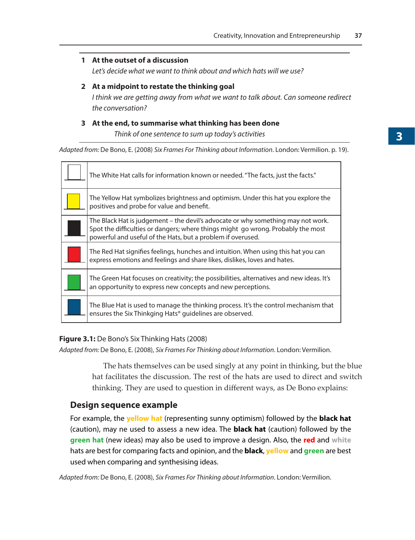### **1 At the outset of a discussion**

*Let's decide what we want to think about and which hats will we use?*

#### **2 At a midpoint to restate the thinking goal**

*I think we are getting away from what we want to talk about. Can someone redirect the conversation?*

# **3 At the end, to summarise what thinking has been done**

**Think of one sentence to sum up today's activities** 

*Adapted from:* De Bono, E. (2008) *Six Frames For Thinking about Information*. London: Vermilion. p. 19).

| The White Hat calls for information known or needed. "The facts, just the facts."                                                                                                                                                   |
|-------------------------------------------------------------------------------------------------------------------------------------------------------------------------------------------------------------------------------------|
| The Yellow Hat symbolizes brightness and optimism. Under this hat you explore the<br>positives and probe for value and benefit.                                                                                                     |
| The Black Hat is judgement – the devil's advocate or why something may not work.<br>Spot the difficulties or dangers; where things might go wrong. Probably the most<br>powerful and useful of the Hats, but a problem if overused. |
| The Red Hat signifies feelings, hunches and intuition. When using this hat you can<br>express emotions and feelings and share likes, dislikes, loves and hates.                                                                     |
| The Green Hat focuses on creativity; the possibilities, alternatives and new ideas. It's<br>an opportunity to express new concepts and new perceptions.                                                                             |
| The Blue Hat is used to manage the thinking process. It's the control mechanism that<br>ensures the Six Thinkging Hats <sup>®</sup> guidelines are observed.                                                                        |

#### **Figure 3.1:** De Bono's Six Thinking Hats (2008)

*Adapted from:* De Bono, E. (2008), *Six Frames For Thinking about Information*. London: Vermilion.

The hats themselves can be used singly at any point in thinking, but the blue hat facilitates the discussion. The rest of the hats are used to direct and switch thinking. They are used to question in different ways, as De Bono explains:

# **Design sequence example**

For example, the **yellow hat** (representing sunny optimism) followed by the **black hat**  (caution), may ne used to assess a new idea. The **black hat** (caution) followed by the **green hat** (new ideas) may also be used to improve a design. Also, the **red** and **white** hats are best for comparing facts and opinion, and the **black**, **yellow** and **green** are best used when comparing and synthesising ideas.

*Adapted from:* De Bono, E. (2008), *Six Frames For Thinking about Information*. London: Vermilion.